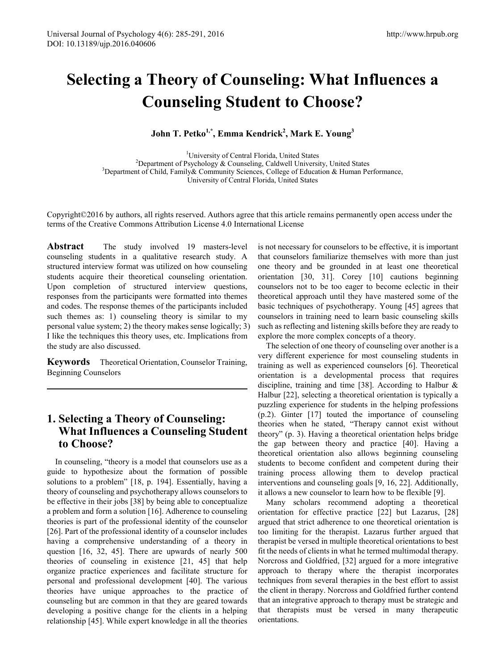# **Selecting a Theory of Counseling: What Influences a Counseling Student to Choose?**

**John T. Petko1,\*, Emma Kendrick2 , Mark E. Young<sup>3</sup>**

<sup>1</sup>University of Central Florida, United States <sup>1</sup>University of Central Florida, United States <sup>2</sup>Department of Psychology & Counceling, Caldwell University  $^{2}$ Department of Psychology & Counseling, Caldwell University, United States  $^{3}$ Department of Child, Femily & Community Sciences, Collogy of Education & Hyman Be <sup>3</sup>Department of Child, Family & Community Sciences, College of Education & Human Performance, University of Central Florida, United States

Copyright©2016 by authors, all rights reserved. Authors agree that this article remains permanently open access under the terms of the Creative Commons Attribution License 4.0 International License

**Abstract** The study involved 19 masters-level counseling students in a qualitative research study. A structured interview format was utilized on how counseling students acquire their theoretical counseling orientation. Upon completion of structured interview questions, responses from the participants were formatted into themes and codes. The response themes of the participants included such themes as: 1) counseling theory is similar to my personal value system; 2) the theory makes sense logically; 3) I like the techniques this theory uses, etc. Implications from the study are also discussed.

**Keywords** Theoretical Orientation, Counselor Training, Beginning Counselors

# **1. Selecting a Theory of Counseling: What Influences a Counseling Student to Choose?**

In counseling, "theory is a model that counselors use as a guide to hypothesize about the formation of possible solutions to a problem" [18, p. 194]. Essentially, having a theory of counseling and psychotherapy allows counselors to be effective in their jobs [38] by being able to conceptualize a problem and form a solution [16]. Adherence to counseling theories is part of the professional identity of the counselor [26]. Part of the professional identity of a counselor includes having a comprehensive understanding of a theory in question [16, 32, 45]. There are upwards of nearly 500 theories of counseling in existence [21, 45] that help organize practice experiences and facilitate structure for personal and professional development [40]. The various theories have unique approaches to the practice of counseling but are common in that they are geared towards developing a positive change for the clients in a helping relationship [45]. While expert knowledge in all the theories

is not necessary for counselors to be effective, it is important that counselors familiarize themselves with more than just one theory and be grounded in at least one theoretical orientation [30, 31]. Corey [10] cautions beginning counselors not to be too eager to become eclectic in their theoretical approach until they have mastered some of the basic techniques of psychotherapy. Young [45] agrees that counselors in training need to learn basic counseling skills such as reflecting and listening skills before they are ready to explore the more complex concepts of a theory.

The selection of one theory of counseling over another is a very different experience for most counseling students in training as well as experienced counselors [6]. Theoretical orientation is a developmental process that requires discipline, training and time [38]. According to Halbur & Halbur [22], selecting a theoretical orientation is typically a puzzling experience for students in the helping professions (p.2). Ginter [17] touted the importance of counseling theories when he stated, "Therapy cannot exist without theory" (p. 3). Having a theoretical orientation helps bridge the gap between theory and practice [40]. Having a theoretical orientation also allows beginning counseling students to become confident and competent during their training process allowing them to develop practical interventions and counseling goals [9, 16, 22]. Additionally, it allows a new counselor to learn how to be flexible [9].

Many scholars recommend adopting a theoretical orientation for effective practice [22] but Lazarus, [28] argued that strict adherence to one theoretical orientation is too limiting for the therapist. Lazarus further argued that therapist be versed in multiple theoretical orientations to best fit the needs of clients in what he termed multimodal therapy. Norcross and Goldfried, [32] argued for a more integrative approach to therapy where the therapist incorporates techniques from several therapies in the best effort to assist the client in therapy. Norcross and Goldfried further contend that an integrative approach to therapy must be strategic and that therapists must be versed in many therapeutic orientations.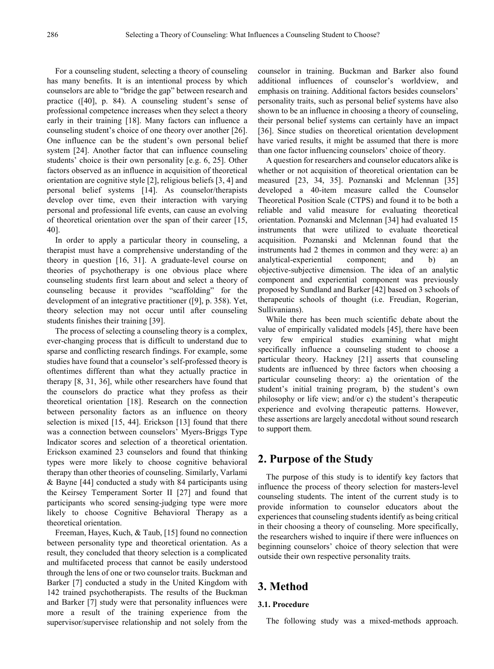For a counseling student, selecting a theory of counseling has many benefits. It is an intentional process by which counselors are able to "bridge the gap" between research and practice ([40], p. 84). A counseling student's sense of professional competence increases when they select a theory early in their training [18]. Many factors can influence a counseling student's choice of one theory over another [26]. One influence can be the student's own personal belief system [24]. Another factor that can influence counseling students' choice is their own personality [e.g. 6, 25]. Other factors observed as an influence in acquisition of theoretical orientation are cognitive style [2], religious beliefs [3, 4] and personal belief systems [14]. As counselor/therapists develop over time, even their interaction with varying personal and professional life events, can cause an evolving of theoretical orientation over the span of their career [15, 40].

In order to apply a particular theory in counseling, a therapist must have a comprehensive understanding of the theory in question [16, 31]. A graduate-level course on theories of psychotherapy is one obvious place where counseling students first learn about and select a theory of counseling because it provides "scaffolding" for the development of an integrative practitioner ([9], p. 358). Yet, theory selection may not occur until after counseling students finishes their training [39].

The process of selecting a counseling theory is a complex, ever-changing process that is difficult to understand due to sparse and conflicting research findings. For example, some studies have found that a counselor's self-professed theory is oftentimes different than what they actually practice in therapy [8, 31, 36], while other researchers have found that the counselors do practice what they profess as their theoretical orientation [18]. Research on the connection between personality factors as an influence on theory selection is mixed [15, 44]. Erickson [13] found that there was a connection between counselors' Myers-Briggs Type Indicator scores and selection of a theoretical orientation. Erickson examined 23 counselors and found that thinking types were more likely to choose cognitive behavioral therapy than other theories of counseling. Similarly, Varlami & Bayne [44] conducted a study with 84 participants using the Keirsey Temperament Sorter II [27] and found that participants who scored sensing-judging type were more likely to choose Cognitive Behavioral Therapy as a theoretical orientation.

Freeman, Hayes, Kuch, & Taub, [15] found no connection between personality type and theoretical orientation. As a result, they concluded that theory selection is a complicated and multifaceted process that cannot be easily understood through the lens of one or two counselor traits. Buckman and Barker [7] conducted a study in the United Kingdom with 142 trained psychotherapists. The results of the Buckman and Barker [7] study were that personality influences were more a result of the training experience from the supervisor/supervisee relationship and not solely from the

counselor in training. Buckman and Barker also found additional influences of counselor's worldview, and emphasis on training. Additional factors besides counselors' personality traits, such as personal belief systems have also shown to be an influence in choosing a theory of counseling, their personal belief systems can certainly have an impact [36]. Since studies on theoretical orientation development have varied results, it might be assumed that there is more than one factor influencing counselors' choice of theory.

A question for researchers and counselor educators alike is whether or not acquisition of theoretical orientation can be measured [23, 34, 35]. Poznanski and Mclennan [35] developed a 40-item measure called the Counselor Theoretical Position Scale (CTPS) and found it to be both a reliable and valid measure for evaluating theoretical orientation. Poznanski and Mclennan [34] had evaluated 15 instruments that were utilized to evaluate theoretical acquisition. Poznanski and Mclennan found that the instruments had 2 themes in common and they were: a) an analytical-experiential component; and b) an objective-subjective dimension. The idea of an analytic component and experiential component was previously proposed by Sundland and Barker [42] based on 3 schools of therapeutic schools of thought (i.e. Freudian, Rogerian, Sullivanians).

While there has been much scientific debate about the value of empirically validated models [45], there have been very few empirical studies examining what might specifically influence a counseling student to choose a particular theory. Hackney [21] asserts that counseling students are influenced by three factors when choosing a particular counseling theory: a) the orientation of the student's initial training program, b) the student's own philosophy or life view; and/or c) the student's therapeutic experience and evolving therapeutic patterns. However, these assertions are largely anecdotal without sound research to support them.

## **2. Purpose of the Study**

The purpose of this study is to identify key factors that influence the process of theory selection for masters-level counseling students. The intent of the current study is to provide information to counselor educators about the experiences that counseling students identify as being critical in their choosing a theory of counseling. More specifically, the researchers wished to inquire if there were influences on beginning counselors' choice of theory selection that were outside their own respective personality traits.

# **3. Method**

#### **3.1. Procedure**

The following study was a mixed-methods approach.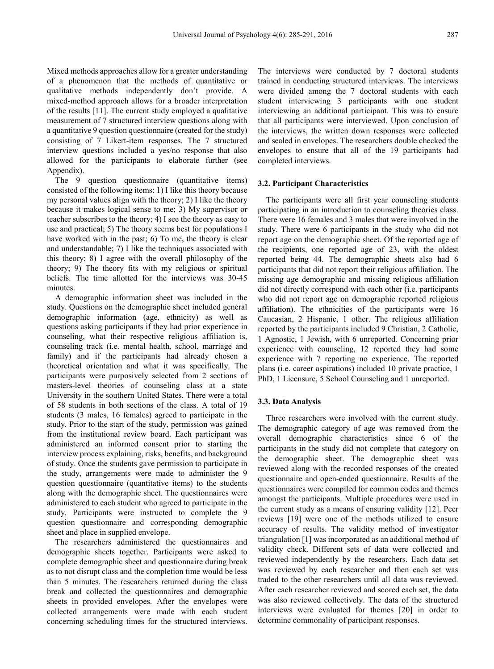Mixed methods approaches allow for a greater understanding of a phenomenon that the methods of quantitative or qualitative methods independently don't provide. A mixed-method approach allows for a broader interpretation of the results [11]. The current study employed a qualitative measurement of 7 structured interview questions along with a quantitative 9 question questionnaire (created for the study) consisting of 7 Likert-item responses. The 7 structured interview questions included a yes/no response that also allowed for the participants to elaborate further (see Appendix).

The 9 question questionnaire (quantitative items) consisted of the following items: 1) I like this theory because my personal values align with the theory; 2) I like the theory because it makes logical sense to me; 3) My supervisor or teacher subscribes to the theory; 4) I see the theory as easy to use and practical; 5) The theory seems best for populations I have worked with in the past; 6) To me, the theory is clear and understandable; 7) I like the techniques associated with this theory; 8) I agree with the overall philosophy of the theory; 9) The theory fits with my religious or spiritual beliefs. The time allotted for the interviews was 30-45 minutes.

A demographic information sheet was included in the study. Questions on the demographic sheet included general demographic information (age, ethnicity) as well as questions asking participants if they had prior experience in counseling, what their respective religious affiliation is, counseling track (i.e. mental health, school, marriage and family) and if the participants had already chosen a theoretical orientation and what it was specifically. The participants were purposively selected from 2 sections of masters-level theories of counseling class at a state University in the southern United States. There were a total of 58 students in both sections of the class. A total of 19 students (3 males, 16 females) agreed to participate in the study. Prior to the start of the study, permission was gained from the institutional review board. Each participant was administered an informed consent prior to starting the interview process explaining, risks, benefits, and background of study. Once the students gave permission to participate in the study, arrangements were made to administer the 9 question questionnaire (quantitative items) to the students along with the demographic sheet. The questionnaires were administered to each student who agreed to participate in the study. Participants were instructed to complete the 9 question questionnaire and corresponding demographic sheet and place in supplied envelope.

The researchers administered the questionnaires and demographic sheets together. Participants were asked to complete demographic sheet and questionnaire during break as to not disrupt class and the completion time would be less than 5 minutes. The researchers returned during the class break and collected the questionnaires and demographic sheets in provided envelopes. After the envelopes were collected arrangements were made with each student concerning scheduling times for the structured interviews.

The interviews were conducted by 7 doctoral students trained in conducting structured interviews. The interviews were divided among the 7 doctoral students with each student interviewing 3 participants with one student interviewing an additional participant. This was to ensure that all participants were interviewed. Upon conclusion of the interviews, the written down responses were collected and sealed in envelopes. The researchers double checked the envelopes to ensure that all of the 19 participants had completed interviews.

#### **3.2. Participant Characteristics**

The participants were all first year counseling students participating in an introduction to counseling theories class. There were 16 females and 3 males that were involved in the study. There were 6 participants in the study who did not report age on the demographic sheet. Of the reported age of the recipients, one reported age of 23, with the oldest reported being 44. The demographic sheets also had 6 participants that did not report their religious affiliation. The missing age demographic and missing religious affiliation did not directly correspond with each other (i.e. participants who did not report age on demographic reported religious affiliation). The ethnicities of the participants were 16 Caucasian, 2 Hispanic, 1 other. The religious affiliation reported by the participants included 9 Christian, 2 Catholic, 1 Agnostic, 1 Jewish, with 6 unreported. Concerning prior experience with counseling, 12 reported they had some experience with 7 reporting no experience. The reported plans (i.e. career aspirations) included 10 private practice, 1 PhD, 1 Licensure, 5 School Counseling and 1 unreported.

#### **3.3. Data Analysis**

Three researchers were involved with the current study. The demographic category of age was removed from the overall demographic characteristics since 6 of the participants in the study did not complete that category on the demographic sheet. The demographic sheet was reviewed along with the recorded responses of the created questionnaire and open-ended questionnaire. Results of the questionnaires were compiled for common codes and themes amongst the participants. Multiple procedures were used in the current study as a means of ensuring validity [12]. Peer reviews [19] were one of the methods utilized to ensure accuracy of results. The validity method of investigator triangulation [1] was incorporated as an additional method of validity check. Different sets of data were collected and reviewed independently by the researchers. Each data set was reviewed by each researcher and then each set was traded to the other researchers until all data was reviewed. After each researcher reviewed and scored each set, the data was also reviewed collectively. The data of the structured interviews were evaluated for themes [20] in order to determine commonality of participant responses.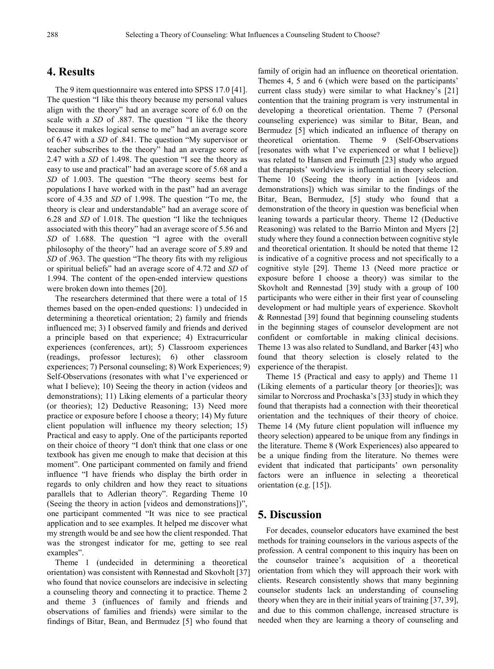#### **4. Results**

The 9 item questionnaire was entered into SPSS 17.0 [41]. The question "I like this theory because my personal values align with the theory" had an average score of 6.0 on the scale with a *SD* of .887. The question "I like the theory because it makes logical sense to me" had an average score of 6.47 with a *SD* of .841. The question "My supervisor or teacher subscribes to the theory" had an average score of 2.47 with a *SD* of 1.498. The question "I see the theory as easy to use and practical" had an average score of 5.68 and a *SD* of 1.003. The question "The theory seems best for populations I have worked with in the past" had an average score of 4.35 and *SD* of 1.998. The question "To me, the theory is clear and understandable" had an average score of 6.28 and *SD* of 1.018. The question "I like the techniques associated with this theory" had an average score of 5.56 and *SD* of 1.688. The question "I agree with the overall philosophy of the theory" had an average score of 5.89 and *SD* of .963. The question "The theory fits with my religious or spiritual beliefs" had an average score of 4.72 and *SD* of 1.994. The content of the open-ended interview questions were broken down into themes [20].

The researchers determined that there were a total of 15 themes based on the open-ended questions: 1) undecided in determining a theoretical orientation; 2) family and friends influenced me; 3) I observed family and friends and derived a principle based on that experience; 4) Extracurricular experiences (conferences, art); 5) Classroom experiences (readings, professor lectures); 6) other classroom experiences; 7) Personal counseling; 8) Work Experiences; 9) Self-Observations (resonates with what I've experienced or what I believe); 10) Seeing the theory in action (videos and demonstrations); 11) Liking elements of a particular theory (or theories); 12) Deductive Reasoning; 13) Need more practice or exposure before I choose a theory; 14) My future client population will influence my theory selection; 15) Practical and easy to apply. One of the participants reported on their choice of theory "I don't think that one class or one textbook has given me enough to make that decision at this moment". One participant commented on family and friend influence "I have friends who display the birth order in regards to only children and how they react to situations parallels that to Adlerian theory". Regarding Theme 10 (Seeing the theory in action [videos and demonstrations])", one participant commented "It was nice to see practical application and to see examples. It helped me discover what my strength would be and see how the client responded. That was the strongest indicator for me, getting to see real examples".

Theme 1 (undecided in determining a theoretical orientation) was consistent with Rønnestad and Skovholt [37] who found that novice counselors are indecisive in selecting a counseling theory and connecting it to practice. Theme 2 and theme 3 (influences of family and friends and observations of families and friends) were similar to the findings of Bitar, Bean, and Bermudez [5] who found that

family of origin had an influence on theoretical orientation. Themes 4, 5 and 6 (which were based on the participants' current class study) were similar to what Hackney's [21] contention that the training program is very instrumental in developing a theoretical orientation. Theme 7 (Personal counseling experience) was similar to Bitar, Bean, and Bermudez [5] which indicated an influence of therapy on theoretical orientation. Theme 9 (Self-Observations [resonates with what I've experienced or what I believe]) was related to Hansen and Freimuth [23] study who argued that therapists' worldview is influential in theory selection. Theme 10 (Seeing the theory in action [videos and demonstrations]) which was similar to the findings of the Bitar, Bean, Bermudez, [5] study who found that a demonstration of the theory in question was beneficial when leaning towards a particular theory. Theme 12 (Deductive Reasoning) was related to the Barrio Minton and Myers [2] study where they found a connection between cognitive style and theoretical orientation. It should be noted that theme 12 is indicative of a cognitive process and not specifically to a cognitive style [29]. Theme 13 (Need more practice or exposure before I choose a theory) was similar to the Skovholt and Rønnestad [39] study with a group of 100 participants who were either in their first year of counseling development or had multiple years of experience. Skovholt & Rønnestad [39] found that beginning counseling students in the beginning stages of counselor development are not confident or comfortable in making clinical decisions. Theme 13 was also related to Sundland, and Barker [43] who found that theory selection is closely related to the experience of the therapist.

Theme 15 (Practical and easy to apply) and Theme 11 (Liking elements of a particular theory [or theories]); was similar to Norcross and Prochaska's [33] study in which they found that therapists had a connection with their theoretical orientation and the techniques of their theory of choice. Theme 14 (My future client population will influence my theory selection) appeared to be unique from any findings in the literature. Theme 8 (Work Experiences) also appeared to be a unique finding from the literature. No themes were evident that indicated that participants' own personality factors were an influence in selecting a theoretical orientation (e.g. [15]).

### **5. Discussion**

For decades, counselor educators have examined the best methods for training counselors in the various aspects of the profession. A central component to this inquiry has been on the counselor trainee's acquisition of a theoretical orientation from which they will approach their work with clients. Research consistently shows that many beginning counselor students lack an understanding of counseling theory when they are in their initial years of training [37, 39], and due to this common challenge, increased structure is needed when they are learning a theory of counseling and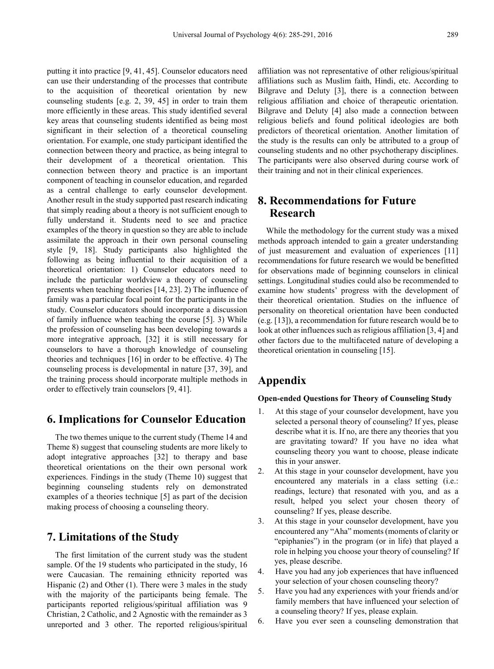putting it into practice [9, 41, 45]. Counselor educators need can use their understanding of the processes that contribute to the acquisition of theoretical orientation by new counseling students [e.g. 2, 39, 45] in order to train them more efficiently in these areas. This study identified several key areas that counseling students identified as being most significant in their selection of a theoretical counseling orientation. For example, one study participant identified the connection between theory and practice, as being integral to their development of a theoretical orientation. This connection between theory and practice is an important component of teaching in counselor education, and regarded as a central challenge to early counselor development. Another result in the study supported past research indicating that simply reading about a theory is not sufficient enough to fully understand it. Students need to see and practice examples of the theory in question so they are able to include assimilate the approach in their own personal counseling style [9, 18]. Study participants also highlighted the following as being influential to their acquisition of a theoretical orientation: 1) Counselor educators need to include the particular worldview a theory of counseling presents when teaching theories [14, 23]. 2) The influence of family was a particular focal point for the participants in the study. Counselor educators should incorporate a discussion of family influence when teaching the course [5]. 3) While the profession of counseling has been developing towards a more integrative approach, [32] it is still necessary for counselors to have a thorough knowledge of counseling theories and techniques [16] in order to be effective. 4) The counseling process is developmental in nature [37, 39], and the training process should incorporate multiple methods in order to effectively train counselors [9, 41].

## **6. Implications for Counselor Education**

The two themes unique to the current study (Theme 14 and Theme 8) suggest that counseling students are more likely to adopt integrative approaches [32] to therapy and base theoretical orientations on the their own personal work experiences. Findings in the study (Theme 10) suggest that beginning counseling students rely on demonstrated examples of a theories technique [5] as part of the decision making process of choosing a counseling theory.

## **7. Limitations of the Study**

The first limitation of the current study was the student sample. Of the 19 students who participated in the study, 16 were Caucasian. The remaining ethnicity reported was Hispanic (2) and Other (1). There were 3 males in the study with the majority of the participants being female. The participants reported religious/spiritual affiliation was 9 Christian, 2 Catholic, and 2 Agnostic with the remainder as 3 unreported and 3 other. The reported religious/spiritual

affiliation was not representative of other religious/spiritual affiliations such as Muslim faith, Hindi, etc. According to Bilgrave and Deluty [3], there is a connection between religious affiliation and choice of therapeutic orientation. Bilgrave and Deluty [4] also made a connection between religious beliefs and found political ideologies are both predictors of theoretical orientation. Another limitation of the study is the results can only be attributed to a group of counseling students and no other psychotherapy disciplines. The participants were also observed during course work of their training and not in their clinical experiences.

# **8. Recommendations for Future Research**

While the methodology for the current study was a mixed methods approach intended to gain a greater understanding of just measurement and evaluation of experiences [11] recommendations for future research we would be benefitted for observations made of beginning counselors in clinical settings. Longitudinal studies could also be recommended to examine how students' progress with the development of their theoretical orientation. Studies on the influence of personality on theoretical orientation have been conducted (e.g. [13]), a recommendation for future research would be to look at other influences such as religious affiliation [3, 4] and other factors due to the multifaceted nature of developing a theoretical orientation in counseling [15].

# **Appendix**

#### **Open-ended Questions for Theory of Counseling Study**

- 1. At this stage of your counselor development, have you selected a personal theory of counseling? If yes, please describe what it is. If no, are there any theories that you are gravitating toward? If you have no idea what counseling theory you want to choose, please indicate this in your answer.
- 2. At this stage in your counselor development, have you encountered any materials in a class setting (i.e.: readings, lecture) that resonated with you, and as a result, helped you select your chosen theory of counseling? If yes, please describe.
- 3. At this stage in your counselor development, have you encountered any "Aha" moments (moments of clarity or "epiphanies") in the program (or in life) that played a role in helping you choose your theory of counseling? If yes, please describe.
- 4. Have you had any job experiences that have influenced your selection of your chosen counseling theory?
- 5. Have you had any experiences with your friends and/or family members that have influenced your selection of a counseling theory? If yes, please explain.
- 6. Have you ever seen a counseling demonstration that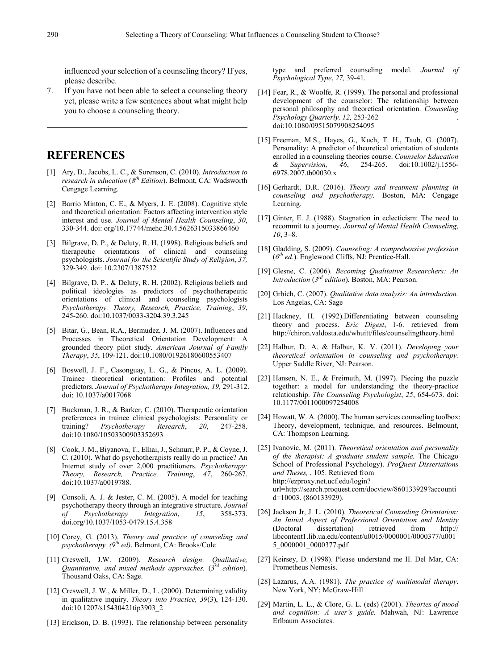influenced your selection of a counseling theory? If yes, please describe.

7. If you have not been able to select a counseling theory yet, please write a few sentences about what might help you to choose a counseling theory.

## **REFERENCES**

- [1] Ary, D., Jacobs, L. C., & Sorenson, C. (2010). *Introduction to research in education* (*8th Edition*). Belmont, CA: Wadsworth Cengage Learning.
- [2] Barrio Minton, C. E., & Myers, J. E. (2008). Cognitive style and theoretical orientation: Factors affecting intervention style interest and use. *Journal of Mental Health Counseling*, *30*, 330-344. doi: org/10.17744/mehc.30.4.5626315033866460
- [3] Bilgrave, D. P., & Deluty, R. H. (1998). Religious beliefs and therapeutic orientations of clinical and counseling psychologists. *Journal for the Scientific Study of Religion*, *37,* 329-349. doi: 10.2307/1387532
- [4] Bilgrave, D. P., & Deluty, R. H. (2002). Religious beliefs and political ideologies as predictors of psychotherapeutic orientations of clinical and counseling psychologists *Psychotherapy: Theory, Research, Practice, Training*, *39*, 245-260. doi:10.1037/0033-3204.39.3.245
- [5] Bitar, G., Bean, R.A., Bermudez, J. M. (2007). Influences and Processes in Theoretical Orientation Development: A grounded theory pilot study. *American Journal of Family Therapy*, *35*, 109-121. doi:10.1080/01926180600553407
- [6] Boswell, J. F., Casonguay, L. G., & Pincus, A. L. (2009). Trainee theoretical orientation: Profiles and potential predictors. *Journal of Psychotherapy Integration, 19,* 291-312. doi: 10.1037/a0017068
- [7] Buckman, J. R., & Barker, C. (2010). Therapeutic orientation preferences in trainee clinical psychologists: Personality or training? *Psychotherapy Research*, *20*, 247-258. doi:10.1080/10503300903352693
- [8] Cook, J. M., Biyanova, T., Elhai, J., Schnurr, P. P., & Coyne, J. C. (2010). What do psychotherapists really do in practice? An Internet study of over 2,000 practitioners. *Psychotherapy: Theory, Research, Practice, Training*, *47*, 260-267. doi:10.1037/a0019788.
- [9] Consoli, A. J. & Jester, C. M. (2005). A model for teaching psychotherapy theory through an integrative structure. *Journal of Psychotherapy Integration*, *15*, 358-373. doi.org/10.1037/1053-0479.15.4.358
- [10] Corey, G. (2013). *Theory and practice of counseling and psychotherapy, (9th ed)*. Belmont, CA: Brooks/Cole
- [11] Creswell, J.W. (2009). *Research design: Qualitative, Quantitative, and mixed methods approaches,* (*3rd edition*)*.*  Thousand Oaks, CA: Sage.
- [12] Creswell, J. W., & Miller, D., L. (2000). Determining validity in qualitative inquiry. *Theory into Practice, 39*(3), 124-130. doi:10.1207/s15430421tip3903\_2
- [13] Erickson, D. B. (1993). The relationship between personality

type and preferred counseling model. *Journal of Psychological Type*, *27,* 39-41.

- [14] Fear, R., & Woolfe, R. (1999). The personal and professional development of the counselor: The relationship between personal philosophy and theoretical orientation. *Counseling Psychology Quarterly, 12,* 253-262 . doi:10.1080/09515079908254095
- [15] Freeman, M.S., Hayes, G., Kuch, T. H., Taub, G. (2007). Personality: A predictor of theoretical orientation of students enrolled in a counseling theories course. *Counselor Education & Supervision, 46*, 254-265. doi:10.1002/j.1556- 6978.2007.tb00030.x
- [16] Gerhardt, D.R. (2016). *Theory and treatment planning in counseling and psychotherapy.* Boston, MA: Cengage Learning.
- [17] Ginter, E. J. (1988). Stagnation in eclecticism: The need to recommit to a journey. *Journal of Mental Health Counseling*, *10*, 3–8.
- [18] Gladding, S. (2009). *Counseling: A comprehensive profession*  (*6th ed*.). Englewood Cliffs, NJ: Prentice-Hall.
- [19] Glesne, C. (2006). *Becoming Qualitative Researchers: An Introduction* (*3rd edition*). Boston, MA: Pearson.
- [20] Grbich, C. (2007). *Qualitative data analysis: An introduction.*  Los Angelas, CA: Sage
- [21] Hackney, H. (1992).Differentiating between counseling theory and process. *Eric Digest*, 1-6. retrieved from http://chiron.valdosta.edu/whuitt/files/counselingtheory.html
- [22] Halbur, D. A. & Halbur, K. V. (2011). *Developing your theoretical orientation in counseling and psychotherapy.*  Upper Saddle River, NJ: Pearson.
- [23] Hansen, N. E., & Freimuth, M. (1997). Piecing the puzzle together: a model for understanding the theory-practice relationship. *The Counseling Psychologist*, *25*, 654-673. doi: 10.1177/0011000097254008
- [24] Howatt, W. A. (2000). The human services counseling toolbox: Theory, development, technique, and resources. Belmount, CA: Thompson Learning.
- [25] Ivanovic, M. (2011). *Theoretical orientation and personality of the therapist: A graduate student sample.* The Chicago School of Professional Psychology). *ProQuest Dissertations and Theses,* , 105. Retrieved from http://ezproxy.net.ucf.edu/login? url=http://search.proquest.com/docview/860133929?accounti d=10003. (860133929).
- [26] Jackson Jr, J. L. (2010). *Theoretical Counseling Orientation: An Initial Aspect of Professional Orientation and Identity* (Doctoral dissertation) retrieved from http:// libcontent1.lib.ua.edu/content/u0015/0000001/0000377/u001 5\_0000001\_0000377.pdf
- [27] Keirsey, D. (1998). Please understand me II. Del Mar, CA: Prometheus Nemesis.
- [28] Lazarus, A.A. (1981). *The practice of multimodal therapy*. New York, NY: McGraw-Hill
- [29] Martin, L. L., & Clore, G. L. (eds) (2001). *Theories of mood and cognition: A user's guide.* Mahwah, NJ: Lawrence Erlbaum Associates.